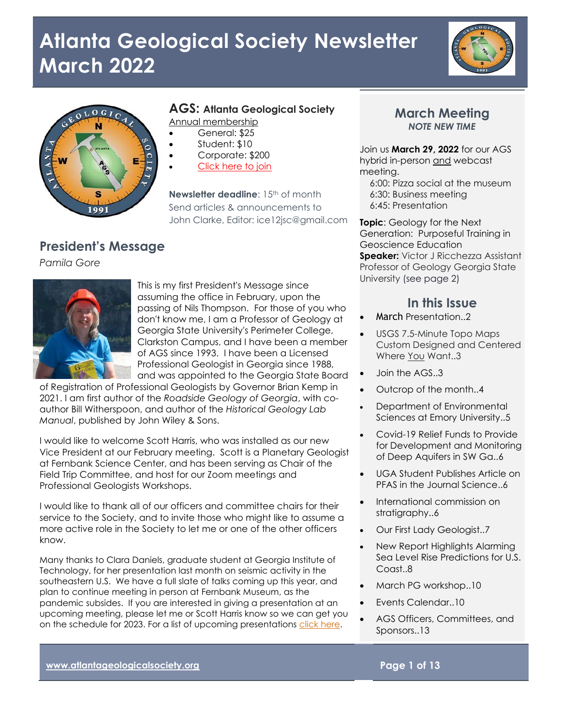



### **AGS: Atlanta Geological Society**

Annual membership

- General: \$25
- Student: \$10
- Corporate: \$200
- [Click here to join](http://atlantageologicalsociety.org/membership-and-dues/)

**Newsletter deadline:** 15<sup>th</sup> of month Send articles & announcements to John Clarke, Editor: ice12jsc@gmail.com

### **President's Message**

*Pamila Gore*



This is my first President's Message since assuming the office in February, upon the passing of Nils Thompson. For those of you who don't know me, I am a Professor of Geology at Georgia State University's Perimeter College, Clarkston Campus, and I have been a member of AGS since 1993. I have been a Licensed Professional Geologist in Georgia since 1988, and was appointed to the Georgia State Board

of Registration of Professional Geologists by Governor Brian Kemp in 2021. I am first author of the *Roadside Geology of Georgia*, with coauthor Bill Witherspoon, and author of the *Historical Geology Lab Manual*, published by John Wiley & Sons.

I would like to welcome Scott Harris, who was installed as our new Vice President at our February meeting. Scott is a Planetary Geologist at Fernbank Science Center, and has been serving as Chair of the Field Trip Committee, and host for our Zoom meetings and Professional Geologists Workshops.

I would like to thank all of our officers and committee chairs for their service to the Society, and to invite those who might like to assume a more active role in the Society to let me or one of the other officers know.

Many thanks to Clara Daniels, graduate student at Georgia Institute of Technology, for her presentation last month on seismic activity in the southeastern U.S. We have a full slate of talks coming up this year, and plan to continue meeting in person at Fernbank Museum, as the pandemic subsides. If you are interested in giving a presentation at an upcoming meeting, please let me or Scott Harris know so we can get you on the schedule for 2023. For a list of upcoming presentations [click here.](http://atlantageologicalsociety.org/events/)

### **March Meeting** *NOTE NEW TIME*

Join us **March 29, 2022** for our AGS hybrid in-person and webcast meeting.

6:00: Pizza social at the museum 6:30: Business meeting 6:45: Presentation

**Topic**: Geology for the Next Generation: Purposeful Training in Geoscience Education **Speaker:** Victor J Ricchezza Assistant Professor of Geology Georgia State University (see page 2)

### **In this Issue**

- March Presentation..2
- USGS 7.5-Minute Topo Maps Custom Designed and Centered Where You Want..3
- Join the AGS..3
- Outcrop of the month..4
- Department of Environmental Sciences at Emory University..5
- Covid-19 Relief Funds to Provide for Development and Monitoring of Deep Aquifers in SW Ga..6
- UGA Student Publishes Article on PFAS in the Journal Science..6
- International commission on stratigraphy..6
- Our First Lady Geologist..7
- New Report Highlights Alarming Sea Level Rise Predictions for U.S. Coast..8
- March PG workshop..10
- Events Calendar..10
- AGS Officers, Committees, and Sponsors..13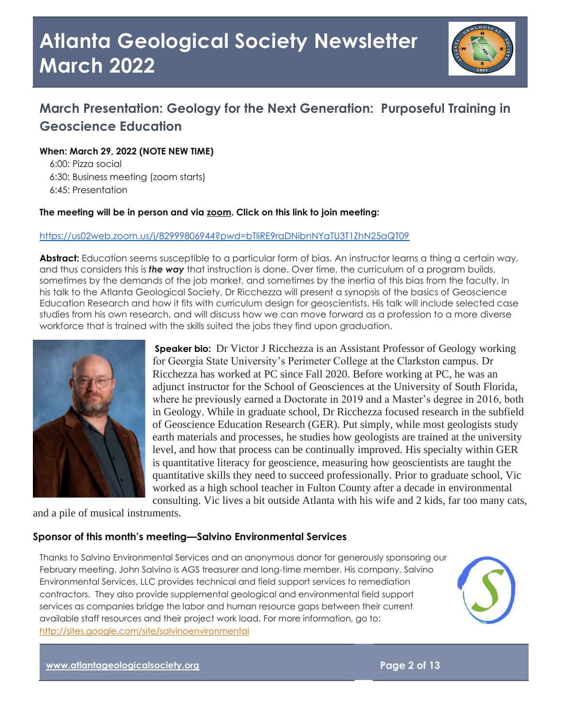

## **March Presentation: Geology for the Next Generation: Purposeful Training in Geoscience Education**

### **When: March 29, 2022 (NOTE NEW TIME)**

 6:00: Pizza social 6:30: Business meeting (zoom starts) 6:45: Presentation

### **The meeting will be in person and via zoom. Click on this link to join meeting:**

#### <https://us02web.zoom.us/j/82999806944?pwd=bTliRE9raDNibnNYaTU3T1ZhN25aQT09>

**Abstract:** Education seems susceptible to a particular form of bias. An instructor learns a thing a certain way, and thus considers this is *the way* that instruction is done. Over time, the curriculum of a program builds, sometimes by the demands of the job market, and sometimes by the inertia of this bias from the faculty. In his talk to the Atlanta Geological Society, Dr Ricchezza will present a synopsis of the basics of Geoscience Education Research and how it fits with curriculum design for geoscientists. His talk will include selected case studies from his own research, and will discuss how we can move forward as a profession to a more diverse workforce that is trained with the skills suited the jobs they find upon graduation.



**Speaker bio:** Dr Victor J Ricchezza is an Assistant Professor of Geology working for Georgia State University's Perimeter College at the Clarkston campus. Dr Ricchezza has worked at PC since Fall 2020. Before working at PC, he was an adjunct instructor for the School of Geosciences at the University of South Florida, where he previously earned a Doctorate in 2019 and a Master's degree in 2016, both in Geology. While in graduate school, Dr Ricchezza focused research in the subfield of Geoscience Education Research (GER). Put simply, while most geologists study earth materials and processes, he studies how geologists are trained at the university level, and how that process can be continually improved. His specialty within GER is quantitative literacy for geoscience, measuring how geoscientists are taught the quantitative skills they need to succeed professionally. Prior to graduate school, Vic worked as a high school teacher in Fulton County after a decade in environmental consulting. Vic lives a bit outside Atlanta with his wife and 2 kids, far too many cats,

and a pile of musical instruments.

### **Sponsor of this month's meeting—Salvino Environmental Services**

Thanks to Salvino Environmental Services and an anonymous donor for generously sponsoring our February meeting. John Salvino is AGS treasurer and long-time member. His company, Salvino Environmental Services, LLC provides technical and field support services to remediation contractors. They also provide supplemental geological and environmental field support services as companies bridge the labor and human resource gaps between their current available staff resources and their project work load. For more information, go to: <http://sites.google.com/site/salvinoenvironmental>



**[www.atlantageologicalsociety.org](http://www.atlantageologicalsociety.org/) Page 2 of 13**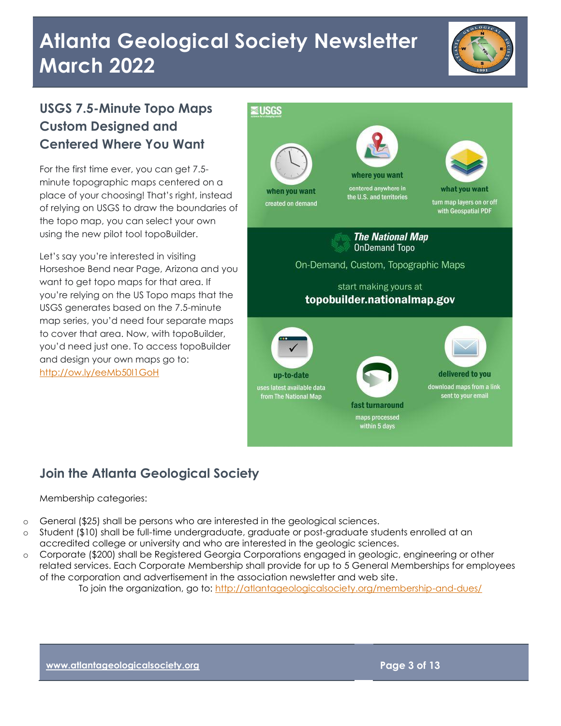

## **USGS 7.5-Minute Topo Maps Custom Designed and Centered Where You Want**

For the first time ever, you can get 7.5 minute topographic maps centered on a place of your choosing! That's right, instead of relying on USGS to draw the boundaries of the topo map, you can select your own using the new pilot tool topoBuilder.

Let's say you're interested in visiting Horseshoe Bend near Page, Arizona and you want to get topo maps for that area. If you're relying on the US Topo maps that the USGS generates based on the 7.5-minute map series, you'd need four separate maps to cover that area. Now, with topoBuilder, you'd need just one. To access topoBuilder and design your own maps go to: <http://ow.ly/eeMb50I1GoH>



## **Join the Atlanta Geological Society**

### Membership categories:

- o General (\$25) shall be persons who are interested in the geological sciences.
- o Student (\$10) shall be full-time undergraduate, graduate or post-graduate students enrolled at an accredited college or university and who are interested in the geologic sciences.
- o Corporate (\$200) shall be Registered Georgia Corporations engaged in geologic, engineering or other related services. Each Corporate Membership shall provide for up to 5 General Memberships for employees of the corporation and advertisement in the association newsletter and web site.

To join the organization, go to:<http://atlantageologicalsociety.org/membership-and-dues/>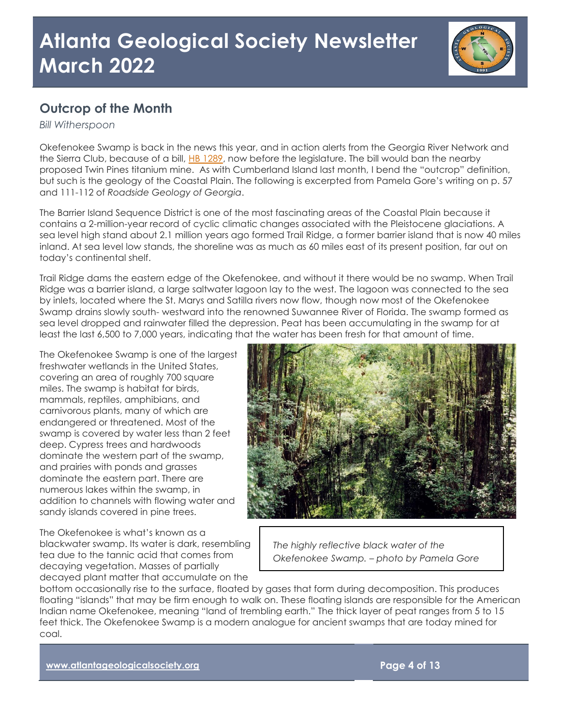

### **Outcrop of the Month**

*Bill Witherspoon*

Okefenokee Swamp is back in the news this year, and in action alerts from the Georgia River Network and the Sierra Club, because of a bill, [HB 1289,](https://www.legis.ga.gov/legislation/61907) now before the legislature. The bill would ban the nearby proposed Twin Pines titanium mine. As with Cumberland Island last month, I bend the "outcrop" definition, but such is the geology of the Coastal Plain. The following is excerpted from Pamela Gore's writing on p. 57 and 111-112 of *Roadside Geology of Georgia*.

The Barrier Island Sequence District is one of the most fascinating areas of the Coastal Plain because it contains a 2-million-year record of cyclic climatic changes associated with the Pleistocene glaciations. A sea level high stand about 2.1 million years ago formed Trail Ridge, a former barrier island that is now 40 miles inland. At sea level low stands, the shoreline was as much as 60 miles east of its present position, far out on today's continental shelf.

Trail Ridge dams the eastern edge of the Okefenokee, and without it there would be no swamp. When Trail Ridge was a barrier island, a large saltwater lagoon lay to the west. The lagoon was connected to the sea by inlets, located where the St. Marys and Satilla rivers now flow, though now most of the Okefenokee Swamp drains slowly south- westward into the renowned Suwannee River of Florida. The swamp formed as sea level dropped and rainwater filled the depression. Peat has been accumulating in the swamp for at least the last 6,500 to 7,000 years, indicating that the water has been fresh for that amount of time.

The Okefenokee Swamp is one of the largest freshwater wetlands in the United States, covering an area of roughly 700 square miles. The swamp is habitat for birds, mammals, reptiles, amphibians, and carnivorous plants, many of which are endangered or threatened. Most of the swamp is covered by water less than 2 feet deep. Cypress trees and hardwoods dominate the western part of the swamp, and prairies with ponds and grasses dominate the eastern part. There are numerous lakes within the swamp, in addition to channels with flowing water and sandy islands covered in pine trees.

The Okefenokee is what's known as a blackwater swamp. Its water is dark, resembling tea due to the tannic acid that comes from decaying vegetation. Masses of partially decayed plant matter that accumulate on the



*The highly reflective black water of the Okefenokee Swamp. – photo by Pamela Gore*

bottom occasionally rise to the surface, floated by gases that form during decomposition. This produces floating "islands" that may be firm enough to walk on. These floating islands are responsible for the American Indian name Okefenokee, meaning "land of trembling earth." The thick layer of peat ranges from 5 to 15 feet thick. The Okefenokee Swamp is a modern analogue for ancient swamps that are today mined for coal.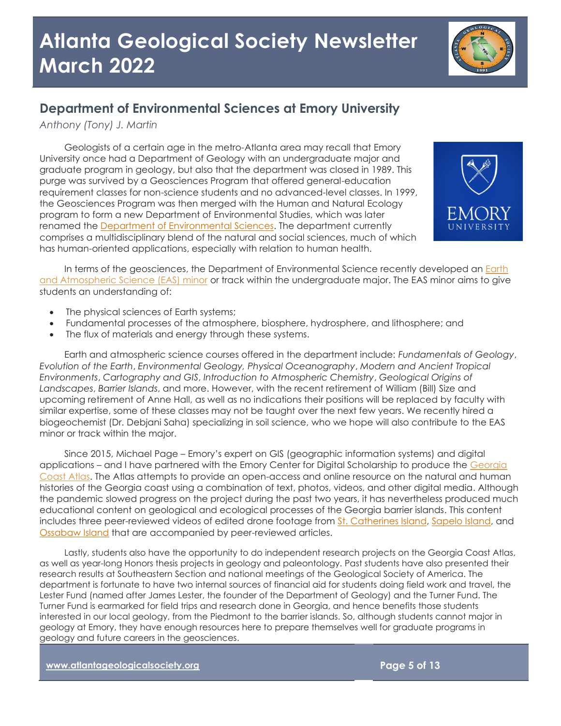### **Department of Environmental Sciences at Emory University**

*Anthony (Tony) J. Martin*

Geologists of a certain age in the metro-Atlanta area may recall that Emory University once had a Department of Geology with an undergraduate major and graduate program in geology, but also that the department was closed in 1989. This purge was survived by a Geosciences Program that offered general-education requirement classes for non-science students and no advanced-level classes. In 1999, the Geosciences Program was then merged with the Human and Natural Ecology program to form a new Department of Environmental Studies, which was later renamed the [Department of Environmental Sciences.](https://envs.emory.edu/) The department currently comprises a multidisciplinary blend of the natural and social sciences, much of which has human-oriented applications, especially with relation to human health.



In terms of the geosciences, the Department of Environmental Science recently developed an [Earth](https://envs.emory.edu/undergraduate/minors/aesmin.html)  [and Atmospheric Science \(EAS\) minor](https://envs.emory.edu/undergraduate/minors/aesmin.html) or track within the undergraduate major. The EAS minor aims to give students an understanding of:

- The physical sciences of Earth systems;
- Fundamental processes of the atmosphere, biosphere, hydrosphere, and lithosphere; and
- The flux of materials and energy through these systems.

Earth and atmospheric science courses offered in the department include: *Fundamentals of Geology*, *Evolution of the Earth*, *Environmental Geology, Physical Oceanography*, *Modern and Ancient Tropical Environments*, *Cartography and GIS*, *Introduction to Atmospheric Chemistry*, *Geological Origins of Landscapes*, *Barrier Islands*, and more. However, with the recent retirement of William (Bill) Size and upcoming retirement of Anne Hall, as well as no indications their positions will be replaced by faculty with similar expertise, some of these classes may not be taught over the next few years. We recently hired a biogeochemist (Dr. Debjani Saha) specializing in soil science, who we hope will also contribute to the EAS minor or track within the major.

Since 2015, Michael Page – Emory's expert on GIS (geographic information systems) and digital applications – and I have partnered with the Emory Center for Digital Scholarship to produce the [Georgia](http://www.georgiacoastatlas.org/)  [Coast Atlas.](http://www.georgiacoastatlas.org/) The Atlas attempts to provide an open-access and online resource on the natural and human histories of the Georgia coast using a combination of text, photos, videos, and other digital media. Although the pandemic slowed progress on the project during the past two years, it has nevertheless produced much educational content on geological and ecological processes of the Georgia barrier islands. This content includes three peer-reviewed videos of edited drone footage from [St. Catherines Island,](https://southernspaces.org/2015/st-catherines-island-flyover/) [Sapelo Island,](https://southernspaces.org/2017/sapelo-island-flyover/) and [Ossabaw Island](https://southernspaces.org/2020/ossabaw-island-flyover/) that are accompanied by peer-reviewed articles.

Lastly, students also have the opportunity to do independent research projects on the Georgia Coast Atlas, as well as year-long Honors thesis projects in geology and paleontology. Past students have also presented their research results at Southeastern Section and national meetings of the Geological Society of America. The department is fortunate to have two internal sources of financial aid for students doing field work and travel, the Lester Fund (named after James Lester, the founder of the Department of Geology) and the Turner Fund. The Turner Fund is earmarked for field trips and research done in Georgia, and hence benefits those students interested in our local geology, from the Piedmont to the barrier islands. So, although students cannot major in geology at Emory, they have enough resources here to prepare themselves well for graduate programs in geology and future careers in the geosciences.

**[www.atlantageologicalsociety.org](http://www.atlantageologicalsociety.org/) Page 5 of 13**

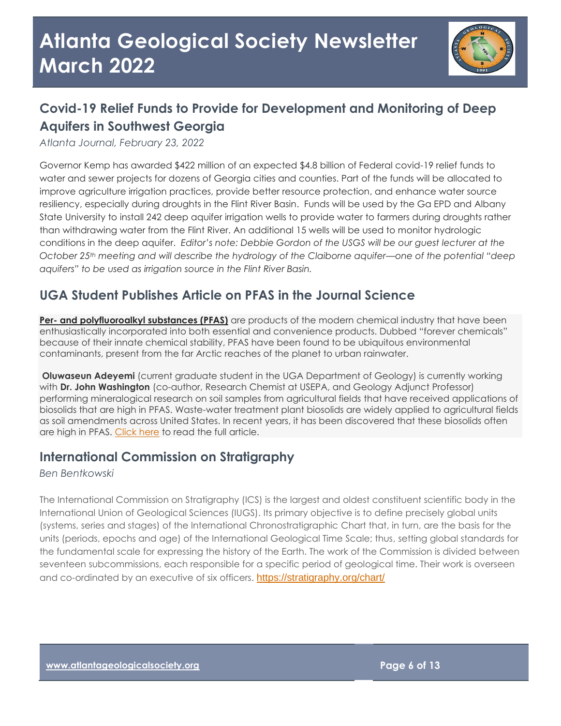

## **Covid-19 Relief Funds to Provide for Development and Monitoring of Deep Aquifers in Southwest Georgia**

*Atlanta Journal, February 23, 2022*

Governor Kemp has awarded \$422 million of an expected \$4.8 billion of Federal covid-19 relief funds to water and sewer projects for dozens of Georgia cities and counties. Part of the funds will be allocated to improve agriculture irrigation practices, provide better resource protection, and enhance water source resiliency, especially during droughts in the Flint River Basin. Funds will be used by the Ga EPD and Albany State University to install 242 deep aquifer irrigation wells to provide water to farmers during droughts rather than withdrawing water from the Flint River. An additional 15 wells will be used to monitor hydrologic conditions in the deep aquifer. *Editor's note: Debbie Gordon of the USGS will be our guest lecturer at the October 25th meeting and will describe the hydrology of the Claiborne aquifer—one of the potential "deep aquifers" to be used as irrigation source in the Flint River Basin.*

### **UGA Student Publishes Article on PFAS in the Journal Science**

**Per- [and polyfluoroalkyl substances \(PFAS\)](https://www.science.org/stoken/author-tokens/ST-321/full)** are products of the modern chemical industry that have been enthusiastically incorporated into both essential and convenience products. Dubbed "forever chemicals" because of their innate chemical stability, PFAS have been found to be ubiquitous environmental contaminants, present from the far Arctic reaches of the planet to urban rainwater.

**Oluwaseun Adeyemi** (current graduate student in the UGA Department of Geology) is currently working with **Dr. John Washington** (co-author, Research Chemist at USEPA, and Geology Adjunct Professor) performing mineralogical research on soil samples from agricultural fields that have received applications of biosolids that are high in PFAS. Waste-water treatment plant biosolids are widely applied to agricultural fields as soil amendments across United States. In recent years, it has been discovered that these biosolids often are high in PFAS. [Click here](https://www.science.org/stoken/author-tokens/ST-321/full) to read the full article.

### **International Commission on Stratigraphy**

*Ben Bentkowski*

The International Commission on Stratigraphy (ICS) is the largest and oldest constituent scientific body in the International Union of Geological Sciences (IUGS). Its primary objective is to define precisely global units (systems, series and stages) of the International Chronostratigraphic Chart that, in turn, are the basis for the units (periods, epochs and age) of the International Geological Time Scale; thus, setting global standards for the fundamental scale for expressing the history of the Earth. The work of the Commission is divided between seventeen subcommissions, each responsible for a specific period of geological time. Their work is overseen and co-ordinated by an executive of six officers. <https://stratigraphy.org/chart/>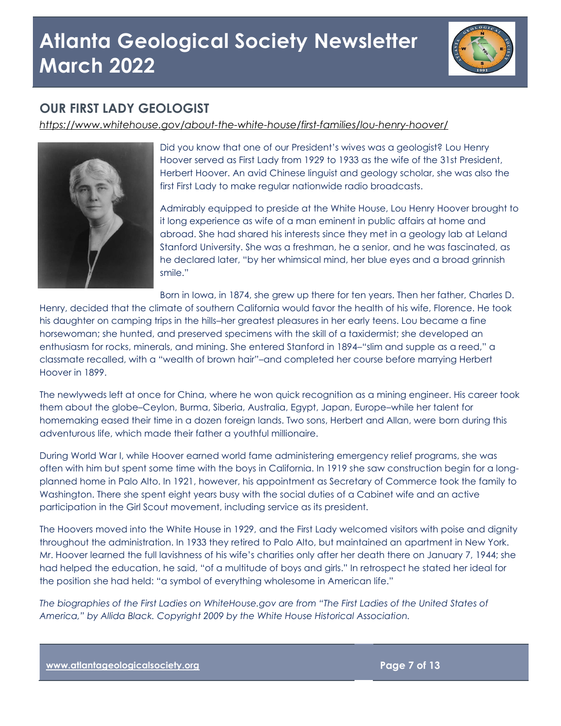

### **OUR FIRST LADY GEOLOGIST**

*<https://www.whitehouse.gov/about-the-white-house/first-families/lou-henry-hoover/>*



Did you know that one of our President's wives was a geologist? Lou Henry Hoover served as First Lady from 1929 to 1933 as the wife of the 31st President, Herbert Hoover. An avid Chinese linguist and geology scholar, she was also the first First Lady to make regular nationwide radio broadcasts.

Admirably equipped to preside at the White House, Lou Henry Hoover brought to it long experience as wife of a man eminent in public affairs at home and abroad. She had shared his interests since they met in a geology lab at Leland Stanford University. She was a freshman, he a senior, and he was fascinated, as he declared later, "by her whimsical mind, her blue eyes and a broad grinnish smile."

Born in Iowa, in 1874, she grew up there for ten years. Then her father, Charles D.

Henry, decided that the climate of southern California would favor the health of his wife, Florence. He took his daughter on camping trips in the hills–her greatest pleasures in her early teens. Lou became a fine horsewoman; she hunted, and preserved specimens with the skill of a taxidermist; she developed an enthusiasm for rocks, minerals, and mining. She entered Stanford in 1894–"slim and supple as a reed," a classmate recalled, with a "wealth of brown hair"–and completed her course before marrying Herbert Hoover in 1899.

The newlyweds left at once for China, where he won quick recognition as a mining engineer. His career took them about the globe–Ceylon, Burma, Siberia, Australia, Egypt, Japan, Europe–while her talent for homemaking eased their time in a dozen foreign lands. Two sons, Herbert and Allan, were born during this adventurous life, which made their father a youthful millionaire.

During World War I, while Hoover earned world fame administering emergency relief programs, she was often with him but spent some time with the boys in California. In 1919 she saw construction begin for a longplanned home in Palo Alto. In 1921, however, his appointment as Secretary of Commerce took the family to Washington. There she spent eight years busy with the social duties of a Cabinet wife and an active participation in the Girl Scout movement, including service as its president.

The Hoovers moved into the White House in 1929, and the First Lady welcomed visitors with poise and dignity throughout the administration. In 1933 they retired to Palo Alto, but maintained an apartment in New York. Mr. Hoover learned the full lavishness of his wife's charities only after her death there on January 7, 1944; she had helped the education, he said, "of a multitude of boys and girls." In retrospect he stated her ideal for the position she had held: "a symbol of everything wholesome in American life."

*The biographies of the First Ladies on WhiteHouse.gov are from "The First Ladies of the United States of America," by Allida Black. Copyright 2009 by the White House Historical Association.*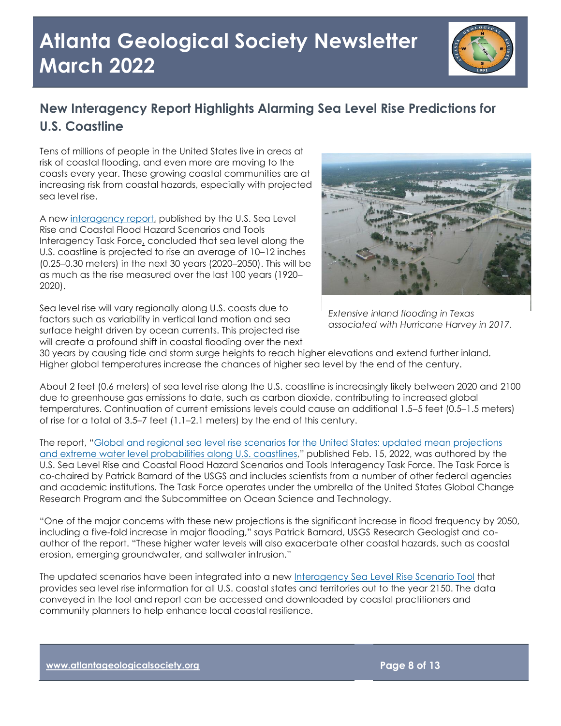

## **New Interagency Report Highlights Alarming Sea Level Rise Predictions for U.S. Coastline**

Tens of millions of people in the United States live in areas at risk of coastal flooding, and even more are moving to the coasts every year. These growing coastal communities are at increasing risk from coastal hazards, especially with projected sea level rise.

A new [interagency report,](http://oceanservice.noaa.gov/hazards/sealevelrise/sealevelrise-tech-report.html) published by the U.S. Sea Level Rise and Coastal Flood Hazard Scenarios and Tools Interagency Task Force, concluded that sea level along the U.S. coastline is projected to rise an average of 10–12 inches (0.25–0.30 meters) in the next 30 years (2020–2050). This will be as much as the rise measured over the last 100 years (1920– 2020).

Sea level rise will vary regionally along U.S. coasts due to factors such as variability in vertical land motion and sea surface height driven by ocean currents. This projected rise will create a profound shift in coastal flooding over the next



*[Extensive inland flooding in Texas](https://www.usgs.gov/media/images/hurricane-harvey-flooding-texas)  associated with Hurricane Harvey in 2017.*

30 years by causing tide and storm surge heights to reach higher elevations and extend further inland. Higher global temperatures increase the chances of higher sea level by the end of the century.

About 2 feet (0.6 meters) of sea level rise along the U.S. coastline is increasingly likely between 2020 and 2100 due to greenhouse gas emissions to date, such as carbon dioxide, contributing to increased global temperatures. Continuation of current emissions levels could cause an additional 1.5–5 feet (0.5–1.5 meters) of rise for a total of 3.5–7 feet (1.1–2.1 meters) by the end of this century.

The report, "Global and regional sea level rise scenarios for the United States: updated mean projections [and extreme water level probabilities along U.S. coastlines](https://aambpublicoceanservice.blob.core.windows.net/oceanserviceprod/hazards/sealevelrise/COVER-CREDITS-TOC-FIGURES.pdf)," published Feb. 15, 2022, was authored by the U.S. Sea Level Rise and Coastal Flood Hazard Scenarios and Tools Interagency Task Force. The Task Force is co-chaired by Patrick Barnard of the USGS and includes scientists from a number of other federal agencies and academic institutions. The Task Force operates under the umbrella of the United States Global Change Research Program and the Subcommittee on Ocean Science and Technology.

"One of the major concerns with these new projections is the significant increase in flood frequency by 2050, including a five-fold increase in major flooding," says Patrick Barnard, USGS Research Geologist and coauthor of the report. "These higher water levels will also exacerbate other coastal hazards, such as coastal erosion, emerging groundwater, and saltwater intrusion."

The updated scenarios have been integrated into a new [Interagency Sea Level Rise Scenario Tool](https://sealevel.nasa.gov/task-force-scenario-tool) that provides sea level rise information for all U.S. coastal states and territories out to the year 2150. The data conveyed in the tool and report can be accessed and downloaded by coastal practitioners and community planners to help enhance local coastal resilience.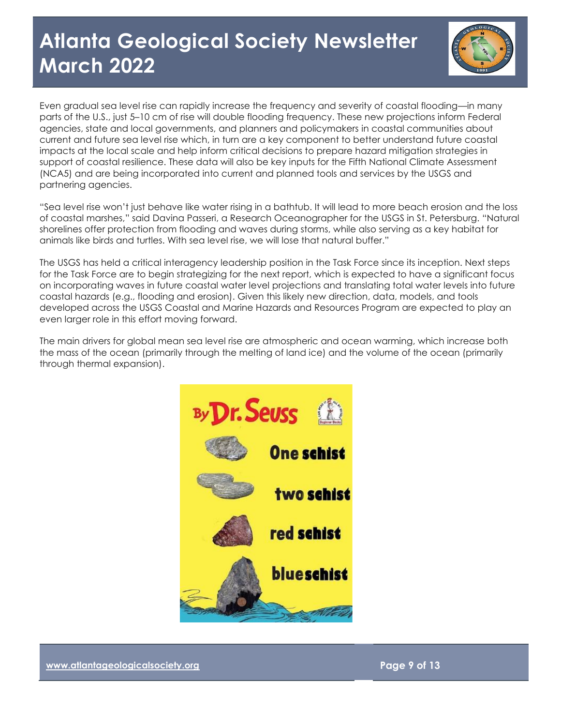

Even gradual sea level rise can rapidly increase the frequency and severity of coastal flooding—in many parts of the U.S., just 5–10 cm of rise will double flooding frequency. These new projections inform Federal agencies, state and local governments, and planners and policymakers in coastal communities about current and future sea level rise which, in turn are a key component to better understand future coastal impacts at the local scale and help inform critical decisions to prepare hazard mitigation strategies in support of coastal resilience. These data will also be key inputs for the Fifth National Climate Assessment (NCA5) and are being incorporated into current and planned tools and services by the USGS and partnering agencies.

"Sea level rise won't just behave like water rising in a bathtub. It will lead to more beach erosion and the loss of coastal marshes," said Davina Passeri, a Research Oceanographer for the USGS in St. Petersburg. "Natural shorelines offer protection from flooding and waves during storms, while also serving as a key habitat for animals like birds and turtles. With sea level rise, we will lose that natural buffer."

The USGS has held a critical interagency leadership position in the Task Force since its inception. Next steps for the Task Force are to begin strategizing for the next report, which is expected to have a significant focus on incorporating waves in future coastal water level projections and translating total water levels into future coastal hazards (e.g., flooding and erosion). Given this likely new direction, data, models, and tools developed across the USGS Coastal and Marine Hazards and Resources Program are expected to play an even larger role in this effort moving forward.

The main drivers for global mean sea level rise are atmospheric and ocean warming, which increase both the mass of the ocean (primarily through the melting of land ice) and the volume of the ocean (primarily through thermal expansion).

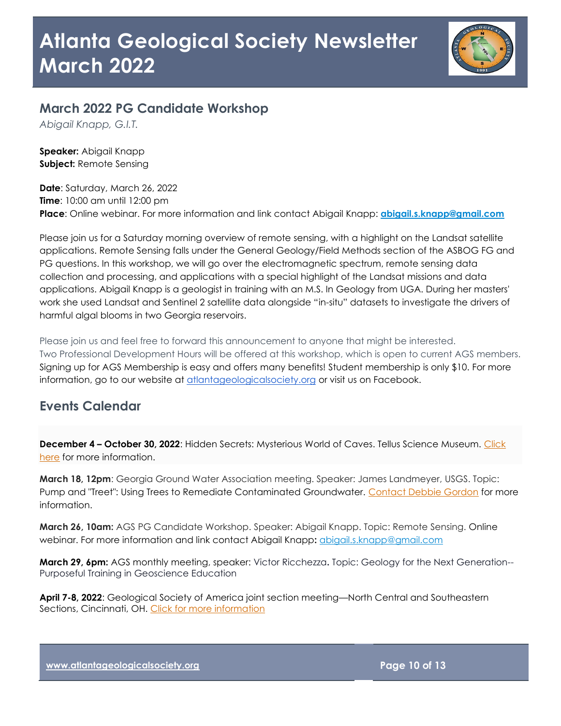

### **March 2022 PG Candidate Workshop**

*Abigail Knapp, G.I.T.*

**Speaker:** Abigail Knapp **Subject:** Remote Sensing

**Date**: Saturday, March 26, 2022 **Time**: 10:00 am until 12:00 pm **Place**: Online webinar. For more information and link contact Abigail Knapp: **[abigail.s.knapp@gmail.com](mailto:abigail.s.knapp@gmail.com)**

Please join us for a Saturday morning overview of remote sensing, with a highlight on the Landsat satellite applications. Remote Sensing falls under the General Geology/Field Methods section of the ASBOG FG and PG questions. In this workshop, we will go over the electromagnetic spectrum, remote sensing data collection and processing, and applications with a special highlight of the Landsat missions and data applications. Abigail Knapp is a geologist in training with an M.S. In Geology from UGA. During her masters' work she used Landsat and Sentinel 2 satellite data alongside "in-situ" datasets to investigate the drivers of harmful algal blooms in two Georgia reservoirs.

Please join us and feel free to forward this announcement to anyone that might be interested. Two Professional Development Hours will be offered at this workshop, which is open to current AGS members. Signing up for AGS Membership is easy and offers many benefits! Student membership is only \$10. For more information, go to our website at [atlantageologicalsociety.org](https://nam11.safelinks.protection.outlook.com/?url=http%3A%2F%2Fatlantageologicalsociety.org%2F&data=04%7C01%7Cpgore%40gsu.edu%7Ced165246cda34d06632c08d93b21a85c%7C515ad73d8d5e4169895c9789dc742a70%7C0%7C0%7C637605838009851362%7CUnknown%7CTWFpbGZsb3d8eyJWIjoiMC4wLjAwMDAiLCJQIjoiV2luMzIiLCJBTiI6Ik1haWwiLCJXVCI6Mn0%3D%7C1000&sdata=Z28QTMG8%2BUgJc5c0mp5fMRutmYbHOo07jk0E3MuMmxE%3D&reserved=0) or visit us on Facebook.

### **Events Calendar**

**December 4 – October 30, 2022**: Hidden Secrets: Mysterious World of Caves. Tellus Science Museum. [Click](https://tellusmuseum.org/exhibit/hidden-secrets-mysterious-world-of-caves/)  [here](https://tellusmuseum.org/exhibit/hidden-secrets-mysterious-world-of-caves/) for more information.

**March 18, 12pm**: Georgia Ground Water Association meeting. Speaker: James Landmeyer, USGS. Topic: Pump and "Treet": Using Trees to Remediate Contaminated Groundwater. [Contact Debbie Gordon](mailto:dwarner@usgs.gov) for more information.

**March 26, 10am:** AGS PG Candidate Workshop. Speaker: Abigail Knapp. Topic: Remote Sensing. Online webinar. For more information and link contact Abigail Knapp**:** [abigail.s.knapp@gmail.com](mailto:abigail.s.knapp@gmail.com)

**March 29, 6pm:** AGS monthly meeting, speaker: Victor Ricchezza**.** Topic: Geology for the Next Generation-- Purposeful Training in Geoscience Education

**April 7-8, 2022**: Geological Society of America joint section meeting—North Central and Southeastern Sections, Cincinnati, OH. [Click for more information](https://www.geosociety.org/GSA/Events/Section_Meetings/GSA/Sections/nc/2022mtg/home.aspx)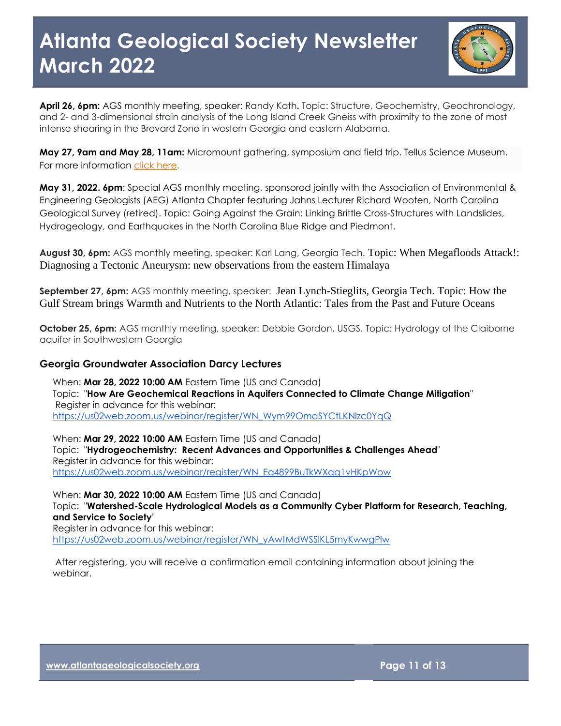

**April 26, 6pm:** AGS monthly meeting, speaker: Randy Kath**.** Topic: Structure, Geochemistry, Geochronology, and 2- and 3-dimensional strain analysis of the Long Island Creek Gneiss with proximity to the zone of most intense shearing in the Brevard Zone in western Georgia and eastern Alabama.

**May 27, 9am and May 28, 11am:** Micromount gathering, symposium and field trip. Tellus Science Museum. For more information [click here.](https://tellusmuseum.org/our-events/micromount-gathering-symposium-and-field-trip/)

**May 31, 2022. 6pm**: Special AGS monthly meeting, sponsored jointly with the Association of Environmental & Engineering Geologists (AEG) Atlanta Chapter featuring Jahns Lecturer Richard Wooten, North Carolina Geological Survey (retired). Topic: Going Against the Grain: Linking Brittle Cross-Structures with Landslides, Hydrogeology, and Earthquakes in the North Carolina Blue Ridge and Piedmont.

**August 30, 6pm:** AGS monthly meeting, speaker: Karl Lang, Georgia Tech. Topic: When Megafloods Attack!: Diagnosing a Tectonic Aneurysm: new observations from the eastern Himalaya

**September 27, 6pm:** AGS monthly meeting, speaker: Jean Lynch-Stieglits, Georgia Tech. Topic: How the Gulf Stream brings Warmth and Nutrients to the North Atlantic: Tales from the Past and Future Oceans

**October 25, 6pm:** AGS monthly meeting, speaker: Debbie Gordon, USGS. Topic: Hydrology of the Claiborne aquifer in Southwestern Georgia

#### **Georgia Groundwater Association Darcy Lectures**

When: **Mar 28, 2022 10:00 AM** Eastern Time (US and Canada) Topic: "**How Are Geochemical Reactions in Aquifers Connected to Climate Change Mitigation**" Register in advance for this webinar: [https://us02web.zoom.us/webinar/register/WN\\_Wym99OmaSYCtLKNlzc0YqQ](https://us02web.zoom.us/webinar/register/WN_Wym99OmaSYCtLKNlzc0YqQ)

When: **Mar 29, 2022 10:00 AM** Eastern Time (US and Canada) Topic: "**Hydrogeochemistry: Recent Advances and Opportunities & Challenges Ahead**" Register in advance for this webinar: [https://us02web.zoom.us/webinar/register/WN\\_Eg4899BuTkWXqq1vHKpWow](https://us02web.zoom.us/webinar/register/WN_Eg4899BuTkWXqq1vHKpWow)

When: **Mar 30, 2022 10:00 AM** Eastern Time (US and Canada) Topic: "**Watershed-Scale Hydrological Models as a Community Cyber Platform for Research, Teaching, and Service to Society**" Register in advance for this webinar: [https://us02web.zoom.us/webinar/register/WN\\_yAwtMdWSSlKL5myKwwgPlw](https://us02web.zoom.us/webinar/register/WN_yAwtMdWSSlKL5myKwwgPlw)

After registering, you will receive a confirmation email containing information about joining the webinar.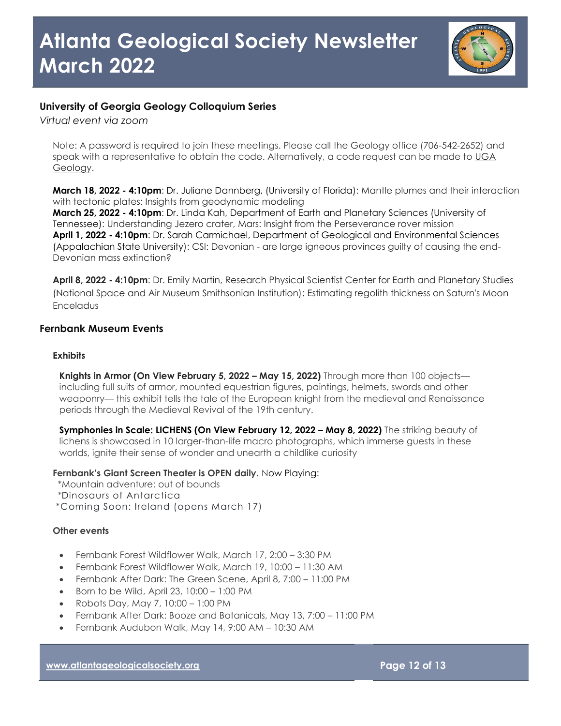

### **University of Georgia Geology Colloquium Series**

*Virtual event via zoom*

Note: A password is required to join these meetings. Please call the Geology office (706-542-2652) and speak with a representative to obtain the code. Alternatively, a code request can be made to UGA [Geology.](mailto:geology@uga.edu)

**March 18, 2022 - 4:10pm**[: Dr. Juliane Dannberg, \(University of Florida\): Mantle plumes and their interaction](https://geology.uga.edu/events/content/2021/dr-juliane-dannberg-mantle-plumes-and-their-interaction-tectonic-plates)  [with tectonic plates: Insights from geodynamic modeling](https://geology.uga.edu/events/content/2021/dr-juliane-dannberg-mantle-plumes-and-their-interaction-tectonic-plates)

**March 25, 2022 - 4:10pm**[: Dr. Linda Kah, Department of Earth and Planetary Sciences \(University of](https://geology.uga.edu/events/content/2021/dr-linda-kah-understanding-jezero-crater-mars-insight-perseverance-rover)  [Tennessee\): Understanding Jezero crater, Mars: Insight from the Perseverance rover mission](https://geology.uga.edu/events/content/2021/dr-linda-kah-understanding-jezero-crater-mars-insight-perseverance-rover) **April 1, 2022 - 4:10pm**[: Dr. Sarah Carmichael, Department of Geological and Environmental Sciences](https://geology.uga.edu/events/content/2021/dr-sarah-carmichael-csi-devonian-are-large-igneous-provinces-guilty-causing-end)  (Appalachian State University): CSI: Devonian - [are large igneous provinces guilty of causing the end-](https://geology.uga.edu/events/content/2021/dr-sarah-carmichael-csi-devonian-are-large-igneous-provinces-guilty-causing-end)[Devonian mass extinction?](https://geology.uga.edu/events/content/2021/dr-sarah-carmichael-csi-devonian-are-large-igneous-provinces-guilty-causing-end)

**April 8, 2022 - 4:10pm**[: Dr. Emily Martin, Research Physical Scientist Center for Earth and Planetary Studies](https://geology.uga.edu/events/content/2021/dr-emily-martin-estimating-regolith-thickness-saturns-moon-enceladus)  [\(National Space and Air Museum Smithsonian Institution\): Estimating regolith thickness on Saturn's Moon](https://geology.uga.edu/events/content/2021/dr-emily-martin-estimating-regolith-thickness-saturns-moon-enceladus)  [Enceladus](https://geology.uga.edu/events/content/2021/dr-emily-martin-estimating-regolith-thickness-saturns-moon-enceladus)

### **Fernbank Museum Events**

#### **Exhibits**

**Knights in Armor (On View February 5, 2022 – May 15, 2022)** Through more than 100 objects including full suits of armor, mounted equestrian figures, paintings, helmets, swords and other weaponry— this exhibit tells the tale of the European knight from the medieval and Renaissance periods through the Medieval Revival of the 19th century.

**Symphonies in Scale: LICHENS (On View February 12, 2022 – May 8, 2022)** The striking beauty of lichens is showcased in 10 larger-than-life macro photographs, which immerse guests in these worlds, ignite their sense of wonder and unearth a childlike curiosity

**Fernbank's Giant Screen Theater is OPEN daily.** Now Playing:

\*Mountain adventure: out of bounds

\*Dinosaurs of Antarctica

\*Coming Soon: Ireland (opens March 17)

#### **Other events**

- Fernbank Forest Wildflower Walk, March 17, 2:00 3:30 PM
- Fernbank Forest Wildflower Walk, March 19, 10:00 11:30 AM
- Fernbank After Dark: The Green Scene, April 8, 7:00 11:00 PM
- $\bullet$  Born to be Wild, April 23, 10:00 1:00 PM
- Robots Day, May 7, 10:00 1:00 PM
- Fernbank After Dark: Booze and Botanicals, May 13, 7:00 11:00 PM
- Fernbank Audubon Walk, May 14, 9:00 AM 10:30 AM